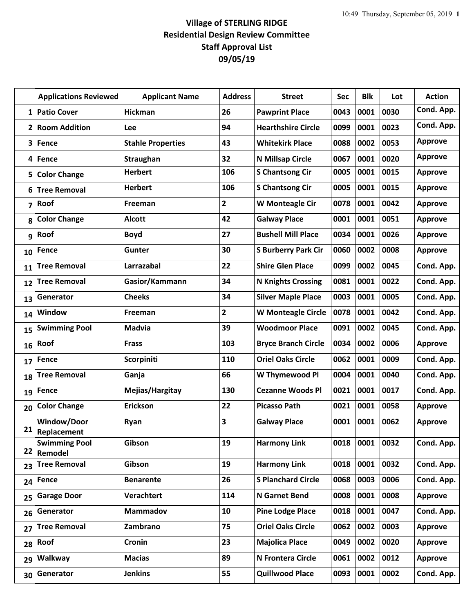## **Village of STERLING RIDGE Residential Design Review Committee Staff Approval List 09/05/19**

|    | <b>Applications Reviewed</b>        | <b>Applicant Name</b>    | <b>Address</b> | <b>Street</b>              | Sec  | <b>Blk</b> | Lot  | <b>Action</b>  |
|----|-------------------------------------|--------------------------|----------------|----------------------------|------|------------|------|----------------|
| 1  | <b>Patio Cover</b>                  | <b>Hickman</b>           | 26             | <b>Pawprint Place</b>      | 0043 | 0001       | 0030 | Cond. App.     |
| 2  | <b>Room Addition</b>                | Lee                      | 94             | <b>Hearthshire Circle</b>  | 0099 | 0001       | 0023 | Cond. App.     |
| 3  | Fence                               | <b>Stahle Properties</b> | 43             | <b>Whitekirk Place</b>     | 0088 | 0002       | 0053 | <b>Approve</b> |
| 4  | Fence                               | Straughan                | 32             | N Millsap Circle           | 0067 | 0001       | 0020 | <b>Approve</b> |
| 5  | <b>Color Change</b>                 | <b>Herbert</b>           | 106            | <b>S Chantsong Cir</b>     | 0005 | 0001       | 0015 | Approve        |
| 6  | <b>Tree Removal</b>                 | <b>Herbert</b>           | 106            | <b>S Chantsong Cir</b>     | 0005 | 0001       | 0015 | <b>Approve</b> |
| 7  | Roof                                | Freeman                  | $\mathbf{2}$   | W Monteagle Cir            | 0078 | 0001       | 0042 | <b>Approve</b> |
| 8  | <b>Color Change</b>                 | <b>Alcott</b>            | 42             | <b>Galway Place</b>        | 0001 | 0001       | 0051 | <b>Approve</b> |
| 9  | Roof                                | <b>Boyd</b>              | 27             | <b>Bushell Mill Place</b>  | 0034 | 0001       | 0026 | <b>Approve</b> |
| 10 | Fence                               | <b>Gunter</b>            | 30             | <b>S Burberry Park Cir</b> | 0060 | 0002       | 0008 | <b>Approve</b> |
| 11 | <b>Tree Removal</b>                 | Larrazabal               | 22             | <b>Shire Glen Place</b>    | 0099 | 0002       | 0045 | Cond. App.     |
| 12 | <b>Tree Removal</b>                 | Gasior/Kammann           | 34             | <b>N Knights Crossing</b>  | 0081 | 0001       | 0022 | Cond. App.     |
| 13 | Generator                           | <b>Cheeks</b>            | 34             | <b>Silver Maple Place</b>  | 0003 | 0001       | 0005 | Cond. App.     |
| 14 | Window                              | Freeman                  | $\overline{2}$ | <b>W Monteagle Circle</b>  | 0078 | 0001       | 0042 | Cond. App.     |
| 15 | <b>Swimming Pool</b>                | <b>Madvia</b>            | 39             | <b>Woodmoor Place</b>      | 0091 | 0002       | 0045 | Cond. App.     |
| 16 | Roof                                | <b>Frass</b>             | 103            | <b>Bryce Branch Circle</b> | 0034 | 0002       | 0006 | <b>Approve</b> |
| 17 | <b>Fence</b>                        | <b>Scorpiniti</b>        | 110            | <b>Oriel Oaks Circle</b>   | 0062 | 0001       | 0009 | Cond. App.     |
| 18 | <b>Tree Removal</b>                 | Ganja                    | 66             | W Thymewood Pl             | 0004 | 0001       | 0040 | Cond. App.     |
| 19 | Fence                               | Mejias/Hargitay          | 130            | <b>Cezanne Woods Pl</b>    | 0021 | 0001       | 0017 | Cond. App.     |
| 20 | <b>Color Change</b>                 | <b>Erickson</b>          | 22             | <b>Picasso Path</b>        | 0021 | 0001       | 0058 | <b>Approve</b> |
| 21 | Window/Door                         | Ryan                     | 3              | <b>Galway Place</b>        | 0001 | 0001       | 0062 | <b>Approve</b> |
|    | Replacement<br><b>Swimming Pool</b> | Gibson                   | 19             | <b>Harmony Link</b>        | 0018 | 0001       | 0032 | Cond. App.     |
| 22 | Remodel                             |                          |                |                            |      |            |      |                |
| 23 | <b>Tree Removal</b>                 | Gibson                   | 19             | <b>Harmony Link</b>        | 0018 | 0001       | 0032 | Cond. App.     |
| 24 | Fence                               | <b>Benarente</b>         | 26             | <b>S Planchard Circle</b>  | 0068 | 0003       | 0006 | Cond. App.     |
| 25 | <b>Garage Door</b>                  | Verachtert               | 114            | <b>N</b> Garnet Bend       | 0008 | 0001       | 0008 | Approve        |
| 26 | Generator                           | Mammadov                 | 10             | <b>Pine Lodge Place</b>    | 0018 | 0001       | 0047 | Cond. App.     |
| 27 | <b>Tree Removal</b>                 | Zambrano                 | 75             | <b>Oriel Oaks Circle</b>   | 0062 | 0002       | 0003 | Approve        |
| 28 | Roof                                | Cronin                   | 23             | <b>Majolica Place</b>      | 0049 | 0002       | 0020 | Approve        |
| 29 | Walkway                             | <b>Macias</b>            | 89             | N Frontera Circle          | 0061 | 0002       | 0012 | <b>Approve</b> |
| 30 | Generator                           | <b>Jenkins</b>           | 55             | <b>Quillwood Place</b>     | 0093 | 0001       | 0002 | Cond. App.     |